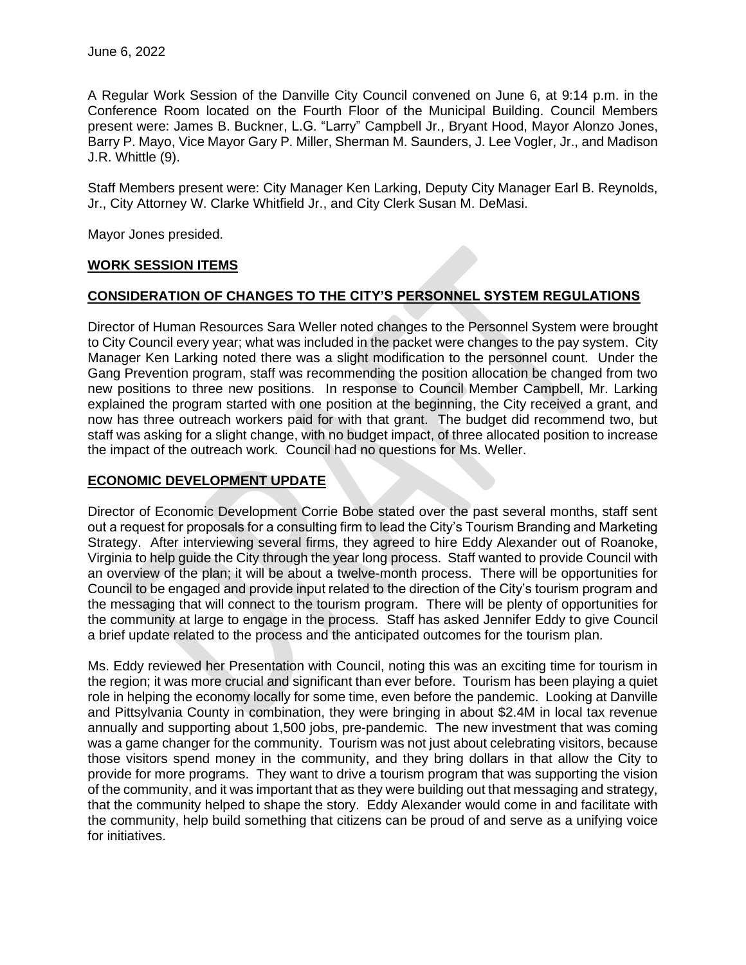A Regular Work Session of the Danville City Council convened on June 6, at 9:14 p.m. in the Conference Room located on the Fourth Floor of the Municipal Building. Council Members present were: James B. Buckner, L.G. "Larry" Campbell Jr., Bryant Hood, Mayor Alonzo Jones, Barry P. Mayo, Vice Mayor Gary P. Miller, Sherman M. Saunders, J. Lee Vogler, Jr., and Madison J.R. Whittle (9).

Staff Members present were: City Manager Ken Larking, Deputy City Manager Earl B. Reynolds, Jr., City Attorney W. Clarke Whitfield Jr., and City Clerk Susan M. DeMasi.

Mayor Jones presided.

### **WORK SESSION ITEMS**

# **CONSIDERATION OF CHANGES TO THE CITY'S PERSONNEL SYSTEM REGULATIONS**

Director of Human Resources Sara Weller noted changes to the Personnel System were brought to City Council every year; what was included in the packet were changes to the pay system. City Manager Ken Larking noted there was a slight modification to the personnel count. Under the Gang Prevention program, staff was recommending the position allocation be changed from two new positions to three new positions. In response to Council Member Campbell, Mr. Larking explained the program started with one position at the beginning, the City received a grant, and now has three outreach workers paid for with that grant. The budget did recommend two, but staff was asking for a slight change, with no budget impact, of three allocated position to increase the impact of the outreach work. Council had no questions for Ms. Weller.

## **ECONOMIC DEVELOPMENT UPDATE**

Director of Economic Development Corrie Bobe stated over the past several months, staff sent out a request for proposals for a consulting firm to lead the City's Tourism Branding and Marketing Strategy. After interviewing several firms, they agreed to hire Eddy Alexander out of Roanoke, Virginia to help guide the City through the year long process. Staff wanted to provide Council with an overview of the plan; it will be about a twelve-month process. There will be opportunities for Council to be engaged and provide input related to the direction of the City's tourism program and the messaging that will connect to the tourism program. There will be plenty of opportunities for the community at large to engage in the process. Staff has asked Jennifer Eddy to give Council a brief update related to the process and the anticipated outcomes for the tourism plan.

Ms. Eddy reviewed her Presentation with Council, noting this was an exciting time for tourism in the region; it was more crucial and significant than ever before. Tourism has been playing a quiet role in helping the economy locally for some time, even before the pandemic. Looking at Danville and Pittsylvania County in combination, they were bringing in about \$2.4M in local tax revenue annually and supporting about 1,500 jobs, pre-pandemic. The new investment that was coming was a game changer for the community. Tourism was not just about celebrating visitors, because those visitors spend money in the community, and they bring dollars in that allow the City to provide for more programs. They want to drive a tourism program that was supporting the vision of the community, and it was important that as they were building out that messaging and strategy, that the community helped to shape the story. Eddy Alexander would come in and facilitate with the community, help build something that citizens can be proud of and serve as a unifying voice for initiatives.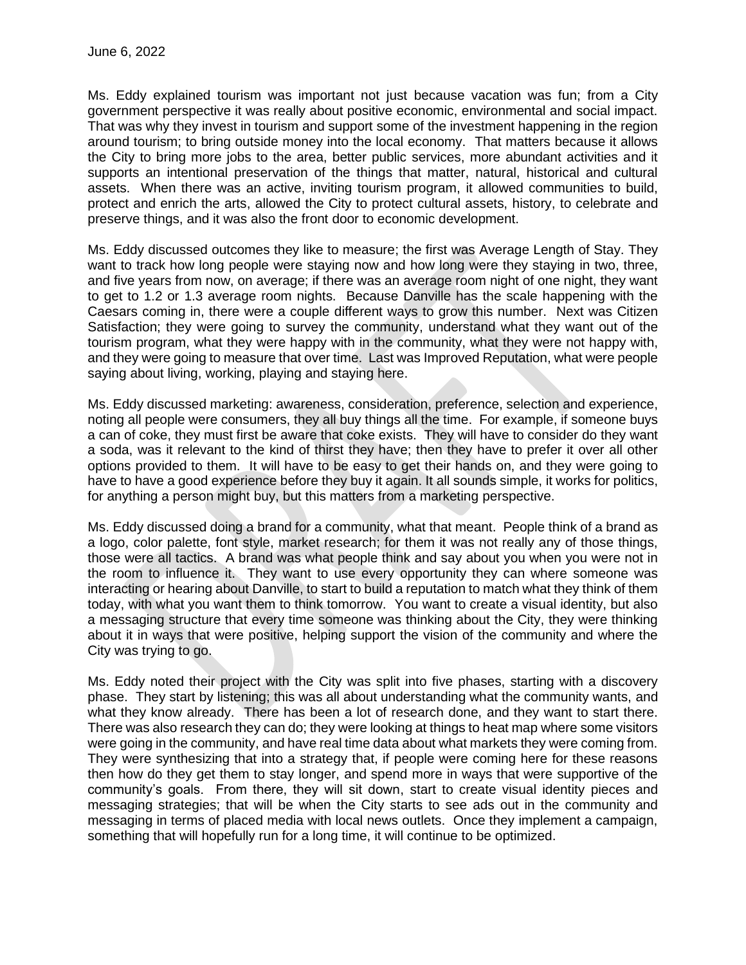Ms. Eddy explained tourism was important not just because vacation was fun; from a City government perspective it was really about positive economic, environmental and social impact. That was why they invest in tourism and support some of the investment happening in the region around tourism; to bring outside money into the local economy. That matters because it allows the City to bring more jobs to the area, better public services, more abundant activities and it supports an intentional preservation of the things that matter, natural, historical and cultural assets. When there was an active, inviting tourism program, it allowed communities to build, protect and enrich the arts, allowed the City to protect cultural assets, history, to celebrate and preserve things, and it was also the front door to economic development.

Ms. Eddy discussed outcomes they like to measure; the first was Average Length of Stay. They want to track how long people were staying now and how long were they staying in two, three, and five years from now, on average; if there was an average room night of one night, they want to get to 1.2 or 1.3 average room nights. Because Danville has the scale happening with the Caesars coming in, there were a couple different ways to grow this number. Next was Citizen Satisfaction; they were going to survey the community, understand what they want out of the tourism program, what they were happy with in the community, what they were not happy with, and they were going to measure that over time. Last was Improved Reputation, what were people saying about living, working, playing and staying here.

Ms. Eddy discussed marketing: awareness, consideration, preference, selection and experience, noting all people were consumers, they all buy things all the time. For example, if someone buys a can of coke, they must first be aware that coke exists. They will have to consider do they want a soda, was it relevant to the kind of thirst they have; then they have to prefer it over all other options provided to them. It will have to be easy to get their hands on, and they were going to have to have a good experience before they buy it again. It all sounds simple, it works for politics, for anything a person might buy, but this matters from a marketing perspective.

Ms. Eddy discussed doing a brand for a community, what that meant. People think of a brand as a logo, color palette, font style, market research; for them it was not really any of those things, those were all tactics. A brand was what people think and say about you when you were not in the room to influence it. They want to use every opportunity they can where someone was interacting or hearing about Danville, to start to build a reputation to match what they think of them today, with what you want them to think tomorrow. You want to create a visual identity, but also a messaging structure that every time someone was thinking about the City, they were thinking about it in ways that were positive, helping support the vision of the community and where the City was trying to go.

Ms. Eddy noted their project with the City was split into five phases, starting with a discovery phase. They start by listening; this was all about understanding what the community wants, and what they know already. There has been a lot of research done, and they want to start there. There was also research they can do; they were looking at things to heat map where some visitors were going in the community, and have real time data about what markets they were coming from. They were synthesizing that into a strategy that, if people were coming here for these reasons then how do they get them to stay longer, and spend more in ways that were supportive of the community's goals. From there, they will sit down, start to create visual identity pieces and messaging strategies; that will be when the City starts to see ads out in the community and messaging in terms of placed media with local news outlets. Once they implement a campaign, something that will hopefully run for a long time, it will continue to be optimized.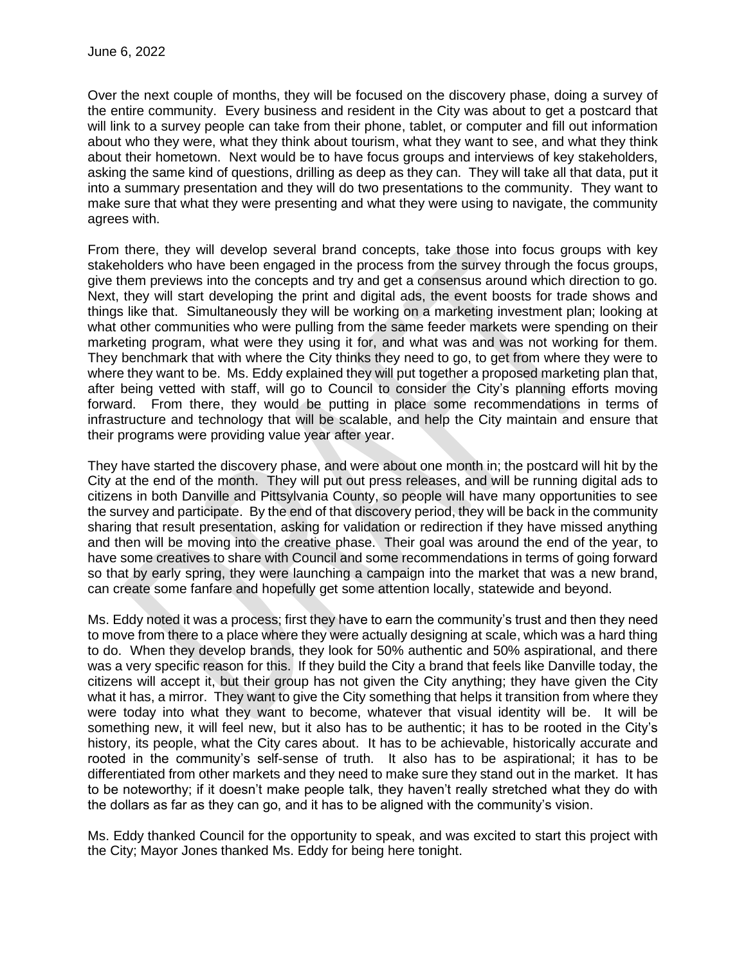Over the next couple of months, they will be focused on the discovery phase, doing a survey of the entire community. Every business and resident in the City was about to get a postcard that will link to a survey people can take from their phone, tablet, or computer and fill out information about who they were, what they think about tourism, what they want to see, and what they think about their hometown. Next would be to have focus groups and interviews of key stakeholders, asking the same kind of questions, drilling as deep as they can. They will take all that data, put it into a summary presentation and they will do two presentations to the community. They want to make sure that what they were presenting and what they were using to navigate, the community agrees with.

From there, they will develop several brand concepts, take those into focus groups with key stakeholders who have been engaged in the process from the survey through the focus groups, give them previews into the concepts and try and get a consensus around which direction to go. Next, they will start developing the print and digital ads, the event boosts for trade shows and things like that. Simultaneously they will be working on a marketing investment plan; looking at what other communities who were pulling from the same feeder markets were spending on their marketing program, what were they using it for, and what was and was not working for them. They benchmark that with where the City thinks they need to go, to get from where they were to where they want to be. Ms. Eddy explained they will put together a proposed marketing plan that, after being vetted with staff, will go to Council to consider the City's planning efforts moving forward. From there, they would be putting in place some recommendations in terms of infrastructure and technology that will be scalable, and help the City maintain and ensure that their programs were providing value year after year.

They have started the discovery phase, and were about one month in; the postcard will hit by the City at the end of the month. They will put out press releases, and will be running digital ads to citizens in both Danville and Pittsylvania County, so people will have many opportunities to see the survey and participate. By the end of that discovery period, they will be back in the community sharing that result presentation, asking for validation or redirection if they have missed anything and then will be moving into the creative phase. Their goal was around the end of the year, to have some creatives to share with Council and some recommendations in terms of going forward so that by early spring, they were launching a campaign into the market that was a new brand, can create some fanfare and hopefully get some attention locally, statewide and beyond.

Ms. Eddy noted it was a process; first they have to earn the community's trust and then they need to move from there to a place where they were actually designing at scale, which was a hard thing to do. When they develop brands, they look for 50% authentic and 50% aspirational, and there was a very specific reason for this. If they build the City a brand that feels like Danville today, the citizens will accept it, but their group has not given the City anything; they have given the City what it has, a mirror. They want to give the City something that helps it transition from where they were today into what they want to become, whatever that visual identity will be. It will be something new, it will feel new, but it also has to be authentic; it has to be rooted in the City's history, its people, what the City cares about. It has to be achievable, historically accurate and rooted in the community's self-sense of truth. It also has to be aspirational; it has to be differentiated from other markets and they need to make sure they stand out in the market. It has to be noteworthy; if it doesn't make people talk, they haven't really stretched what they do with the dollars as far as they can go, and it has to be aligned with the community's vision.

Ms. Eddy thanked Council for the opportunity to speak, and was excited to start this project with the City; Mayor Jones thanked Ms. Eddy for being here tonight.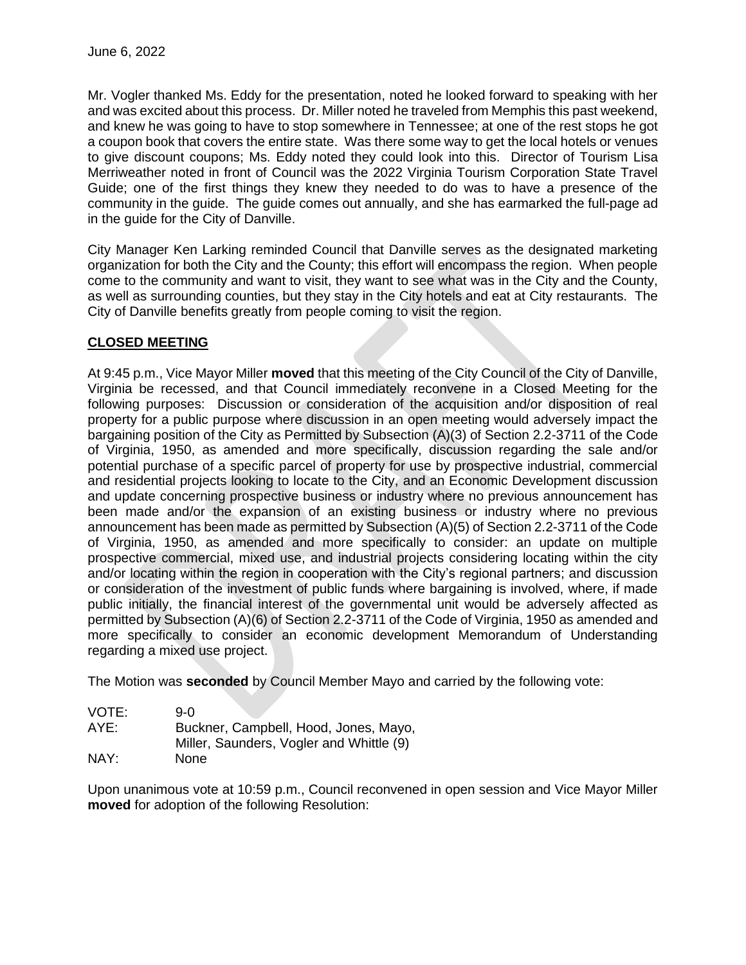Mr. Vogler thanked Ms. Eddy for the presentation, noted he looked forward to speaking with her and was excited about this process. Dr. Miller noted he traveled from Memphis this past weekend, and knew he was going to have to stop somewhere in Tennessee; at one of the rest stops he got a coupon book that covers the entire state. Was there some way to get the local hotels or venues to give discount coupons; Ms. Eddy noted they could look into this. Director of Tourism Lisa Merriweather noted in front of Council was the 2022 Virginia Tourism Corporation State Travel Guide; one of the first things they knew they needed to do was to have a presence of the community in the guide. The guide comes out annually, and she has earmarked the full-page ad in the guide for the City of Danville.

City Manager Ken Larking reminded Council that Danville serves as the designated marketing organization for both the City and the County; this effort will encompass the region. When people come to the community and want to visit, they want to see what was in the City and the County, as well as surrounding counties, but they stay in the City hotels and eat at City restaurants. The City of Danville benefits greatly from people coming to visit the region.

### **CLOSED MEETING**

At 9:45 p.m., Vice Mayor Miller **moved** that this meeting of the City Council of the City of Danville, Virginia be recessed, and that Council immediately reconvene in a Closed Meeting for the following purposes: Discussion or consideration of the acquisition and/or disposition of real property for a public purpose where discussion in an open meeting would adversely impact the bargaining position of the City as Permitted by Subsection (A)(3) of Section 2.2-3711 of the Code of Virginia, 1950, as amended and more specifically, discussion regarding the sale and/or potential purchase of a specific parcel of property for use by prospective industrial, commercial and residential projects looking to locate to the City, and an Economic Development discussion and update concerning prospective business or industry where no previous announcement has been made and/or the expansion of an existing business or industry where no previous announcement has been made as permitted by Subsection (A)(5) of Section 2.2-3711 of the Code of Virginia, 1950, as amended and more specifically to consider: an update on multiple prospective commercial, mixed use, and industrial projects considering locating within the city and/or locating within the region in cooperation with the City's regional partners; and discussion or consideration of the investment of public funds where bargaining is involved, where, if made public initially, the financial interest of the governmental unit would be adversely affected as permitted by Subsection (A)(6) of Section 2.2-3711 of the Code of Virginia, 1950 as amended and more specifically to consider an economic development Memorandum of Understanding regarding a mixed use project.

The Motion was **seconded** by Council Member Mayo and carried by the following vote:

| VOTE: | 9-0                                      |
|-------|------------------------------------------|
| AYE:  | Buckner, Campbell, Hood, Jones, Mayo,    |
|       | Miller, Saunders, Vogler and Whittle (9) |
| NAY:  | None                                     |

Upon unanimous vote at 10:59 p.m., Council reconvened in open session and Vice Mayor Miller **moved** for adoption of the following Resolution: